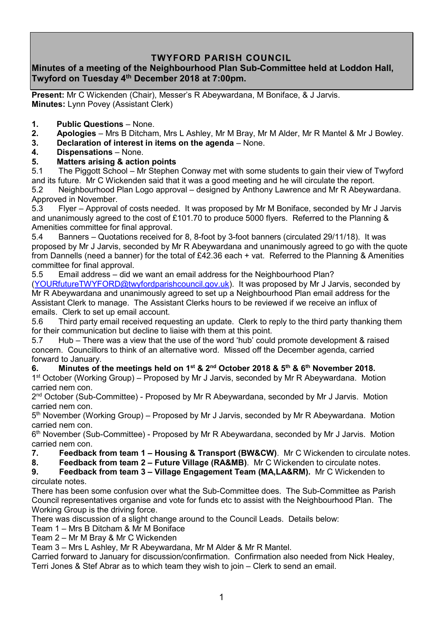# **TWYFORD PARISH COUNCIL**

# **Minutes of a meeting of the Neighbourhood Plan Sub-Committee held at Loddon Hall, Twyford on Tuesday 4 th December 2018 at 7:00pm.**

**Present:** Mr C Wickenden (Chair), Messer's R Abeywardana, M Boniface, & J Jarvis. **Minutes:** Lynn Povey (Assistant Clerk)

- **1. Public Questions** None.
- **2. Apologies** Mrs B Ditcham, Mrs L Ashley, Mr M Bray, Mr M Alder, Mr R Mantel & Mr J Bowley.
- **3. Declaration of interest in items on the agenda** None.
- **4. Dispensations**  None.
- **5. Matters arising & action points**

5.1 The Piggott School – Mr Stephen Conway met with some students to gain their view of Twyford and its future. Mr C Wickenden said that it was a good meeting and he will circulate the report. 5.2 Neighbourhood Plan Logo approval – designed by Anthony Lawrence and Mr R Abeywardana. Approved in November.

5.3 Flyer – Approval of costs needed. It was proposed by Mr M Boniface, seconded by Mr J Jarvis and unanimously agreed to the cost of £101.70 to produce 5000 flyers. Referred to the Planning & Amenities committee for final approval.

5.4 Banners – Quotations received for 8, 8-foot by 3-foot banners (circulated 29/11/18). It was proposed by Mr J Jarvis, seconded by Mr R Abeywardana and unanimously agreed to go with the quote from Dannells (need a banner) for the total of £42.36 each + vat. Referred to the Planning & Amenities committee for final approval.

5.5 Email address – did we want an email address for the Neighbourhood Plan?

[\(YOURfutureTWYFORD@twyfordparishcouncil.gov.uk\)](mailto:YOURfutureTWYFORD@twyfordparishcouncil.gov.uk). It was proposed by Mr J Jarvis, seconded by Mr R Abeywardana and unanimously agreed to set up a Neighbourhood Plan email address for the Assistant Clerk to manage. The Assistant Clerks hours to be reviewed if we receive an influx of emails. Clerk to set up email account.

5.6 Third party email received requesting an update. Clerk to reply to the third party thanking them for their communication but decline to liaise with them at this point.

5.7 Hub – There was a view that the use of the word 'hub' could promote development & raised concern. Councillors to think of an alternative word. Missed off the December agenda, carried forward to January.

#### **6. Minutes of the meetings held on 1 st & 2nd October 2018 & 5 th & 6th November 2018.**

1<sup>st</sup> October (Working Group) – Proposed by Mr J Jarvis, seconded by Mr R Abeywardana. Motion carried nem con.

2<sup>nd</sup> October (Sub-Committee) - Proposed by Mr R Abeywardana, seconded by Mr J Jarvis. Motion carried nem con.

5<sup>th</sup> November (Working Group) – Proposed by Mr J Jarvis, seconded by Mr R Abeywardana. Motion carried nem con.

6<sup>th</sup> November (Sub-Committee) - Proposed by Mr R Abeywardana, seconded by Mr J Jarvis. Motion carried nem con.

- **7. Feedback from team 1 – Housing & Transport (BW&CW)**. Mr C Wickenden to circulate notes.
- **8. Feedback from team 2 – Future Village (RA&MB)**. Mr C Wickenden to circulate notes.

#### **9. Feedback from team 3 – Village Engagement Team (MA,LA&RM).** Mr C Wickenden to circulate notes.

There has been some confusion over what the Sub-Committee does. The Sub-Committee as Parish Council representatives organise and vote for funds etc to assist with the Neighbourhood Plan. The Working Group is the driving force.

There was discussion of a slight change around to the Council Leads. Details below:

Team 1 – Mrs B Ditcham & Mr M Boniface

Team 2 – Mr M Bray & Mr C Wickenden

Team 3 – Mrs L Ashley, Mr R Abeywardana, Mr M Alder & Mr R Mantel.

Carried forward to January for discussion/confirmation. Confirmation also needed from Nick Healey, Terri Jones & Stef Abrar as to which team they wish to join – Clerk to send an email.